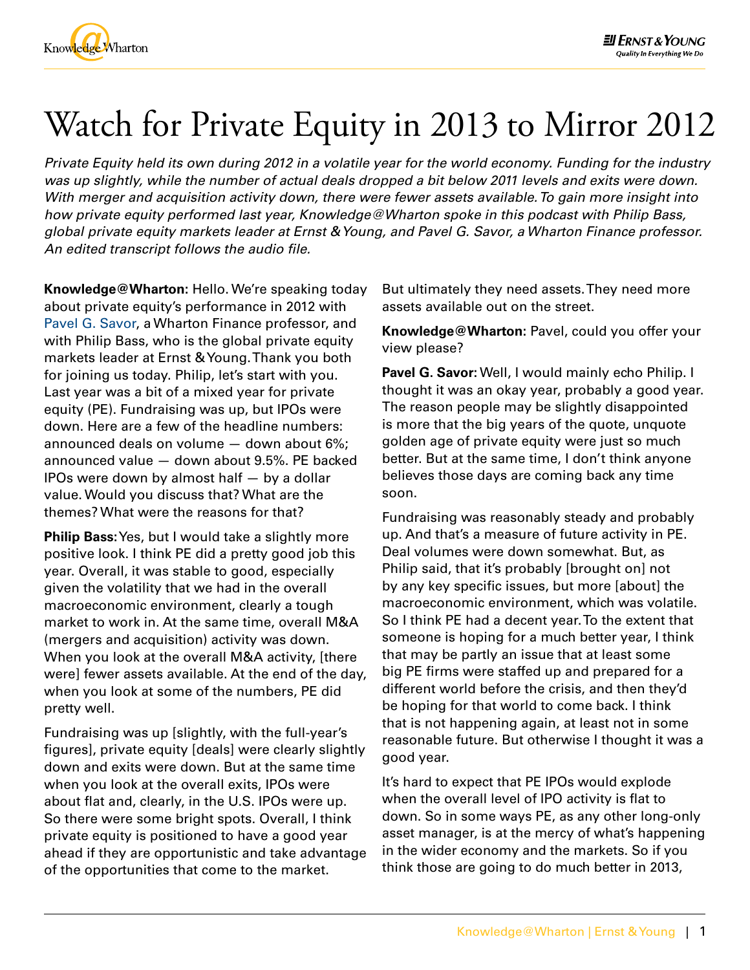

## Watch for Private Equity in 2013 to Mirror 2012

*Private Equity held its own during 2012 in a volatile year for the world economy. Funding for the industry was up slightly, while the number of actual deals dropped a bit below 2011 levels and exits were down. With merger and acquisition activity down, there were fewer assets available. To gain more insight into how private equity performed last year, Knowledge@Wharton spoke in this podcast with Philip Bass, global private equity markets leader at Ernst & Young, and [Pavel G. Savor,](https://fnce.wharton.upenn.edu/profile/978/) a Wharton Finance professor. An edited transcript follows the audio file.*

**Knowledge@Wharton:** Hello. We're speaking today about private equity's performance in 2012 with [Pavel G. Savor](https://fnce.wharton.upenn.edu/profile/978/), a Wharton Finance professor, and with Philip Bass, who is the global private equity markets leader at Ernst & Young. Thank you both for joining us today. Philip, let's start with you. Last year was a bit of a mixed year for private equity (PE). Fundraising was up, but IPOs were down. Here are a few of the headline numbers: announced deals on volume — down about 6%; announced value — down about 9.5%. PE backed IPOs were down by almost half — by a dollar value. Would you discuss that? What are the themes? What were the reasons for that?

**Philip Bass:** Yes, but I would take a slightly more positive look. I think PE did a pretty good job this year. Overall, it was stable to good, especially given the volatility that we had in the overall macroeconomic environment, clearly a tough market to work in. At the same time, overall M&A (mergers and acquisition) activity was down. When you look at the overall M&A activity, [there were] fewer assets available. At the end of the day, when you look at some of the numbers, PE did pretty well.

Fundraising was up [slightly, with the full-year's figures], private equity [deals] were clearly slightly down and exits were down. But at the same time when you look at the overall exits, IPOs were about flat and, clearly, in the U.S. IPOs were up. So there were some bright spots. Overall, I think private equity is positioned to have a good year ahead if they are opportunistic and take advantage of the opportunities that come to the market.

But ultimately they need assets. They need more assets available out on the street.

**Knowledge@Wharton:** Pavel, could you offer your view please?

**Pavel G. Savor:** Well, I would mainly echo Philip. I thought it was an okay year, probably a good year. The reason people may be slightly disappointed is more that the big years of the quote, unquote golden age of private equity were just so much better. But at the same time, I don't think anyone believes those days are coming back any time soon.

Fundraising was reasonably steady and probably up. And that's a measure of future activity in PE. Deal volumes were down somewhat. But, as Philip said, that it's probably [brought on] not by any key specific issues, but more [about] the macroeconomic environment, which was volatile. So I think PE had a decent year. To the extent that someone is hoping for a much better year, I think that may be partly an issue that at least some big PE firms were staffed up and prepared for a different world before the crisis, and then they'd be hoping for that world to come back. I think that is not happening again, at least not in some reasonable future. But otherwise I thought it was a good year.

It's hard to expect that PE IPOs would explode when the overall level of IPO activity is flat to down. So in some ways PE, as any other long-only asset manager, is at the mercy of what's happening in the wider economy and the markets. So if you think those are going to do much better in 2013,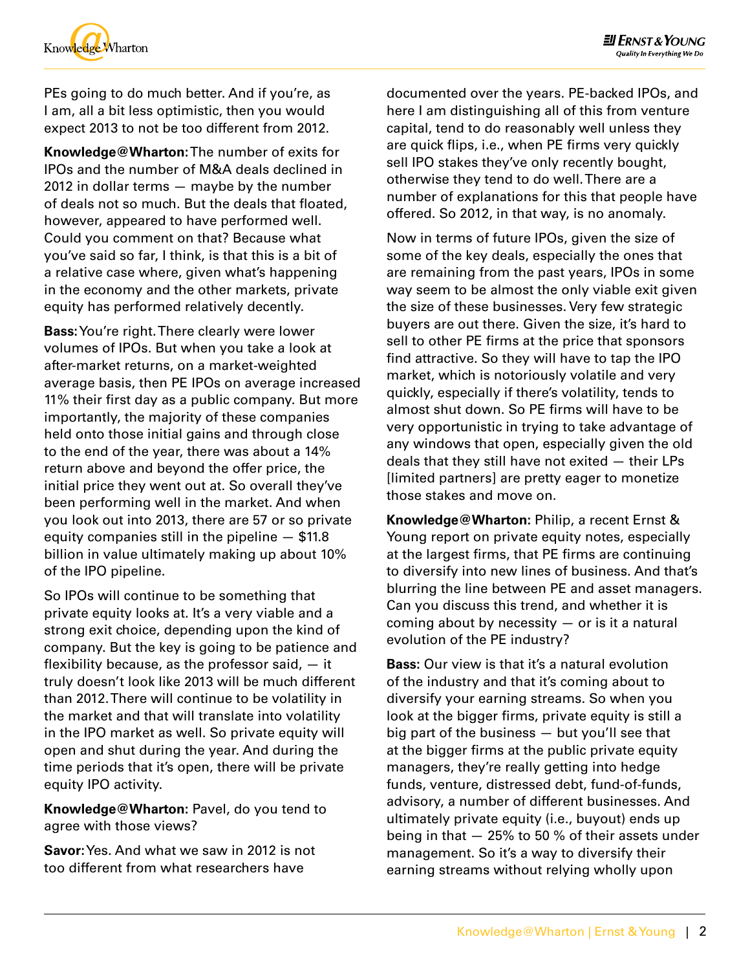

PEs going to do much better. And if you're, as I am, all a bit less optimistic, then you would expect 2013 to not be too different from 2012.

**Knowledge@Wharton:** The number of exits for IPOs and the number of M&A deals declined in 2012 in dollar terms — maybe by the number of deals not so much. But the deals that floated, however, appeared to have performed well. Could you comment on that? Because what you've said so far, I think, is that this is a bit of a relative case where, given what's happening in the economy and the other markets, private equity has performed relatively decently.

**Bass:** You're right. There clearly were lower volumes of IPOs. But when you take a look at after-market returns, on a market-weighted average basis, then PE IPOs on average increased 11% their first day as a public company. But more importantly, the majority of these companies held onto those initial gains and through close to the end of the year, there was about a 14% return above and beyond the offer price, the initial price they went out at. So overall they've been performing well in the market. And when you look out into 2013, there are 57 or so private equity companies still in the pipeline — \$11.8 billion in value ultimately making up about 10% of the IPO pipeline.

So IPOs will continue to be something that private equity looks at. It's a very viable and a strong exit choice, depending upon the kind of company. But the key is going to be patience and flexibility because, as the professor said,  $-$  it truly doesn't look like 2013 will be much different than 2012. There will continue to be volatility in the market and that will translate into volatility in the IPO market as well. So private equity will open and shut during the year. And during the time periods that it's open, there will be private equity IPO activity.

**Knowledge@Wharton:** Pavel, do you tend to agree with those views?

**Savor:** Yes. And what we saw in 2012 is not too different from what researchers have

documented over the years. PE-backed IPOs, and here I am distinguishing all of this from venture capital, tend to do reasonably well unless they are quick flips, i.e., when PE firms very quickly sell IPO stakes they've only recently bought, otherwise they tend to do well. There are a number of explanations for this that people have offered. So 2012, in that way, is no anomaly.

Now in terms of future IPOs, given the size of some of the key deals, especially the ones that are remaining from the past years, IPOs in some way seem to be almost the only viable exit given the size of these businesses. Very few strategic buyers are out there. Given the size, it's hard to sell to other PE firms at the price that sponsors find attractive. So they will have to tap the IPO market, which is notoriously volatile and very quickly, especially if there's volatility, tends to almost shut down. So PE firms will have to be very opportunistic in trying to take advantage of any windows that open, especially given the old deals that they still have not exited — their LPs [limited partners] are pretty eager to monetize those stakes and move on.

**Knowledge@Wharton:** Philip, a recent Ernst & Young report on private equity notes, especially at the largest firms, that PE firms are continuing to diversify into new lines of business. And that's blurring the line between PE and asset managers. Can you discuss this trend, and whether it is coming about by necessity — or is it a natural evolution of the PE industry?

**Bass:** Our view is that it's a natural evolution of the industry and that it's coming about to diversify your earning streams. So when you look at the bigger firms, private equity is still a big part of the business — but you'll see that at the bigger firms at the public private equity managers, they're really getting into hedge funds, venture, distressed debt, fund-of-funds, advisory, a number of different businesses. And ultimately private equity (i.e., buyout) ends up being in that — 25% to 50 % of their assets under management. So it's a way to diversify their earning streams without relying wholly upon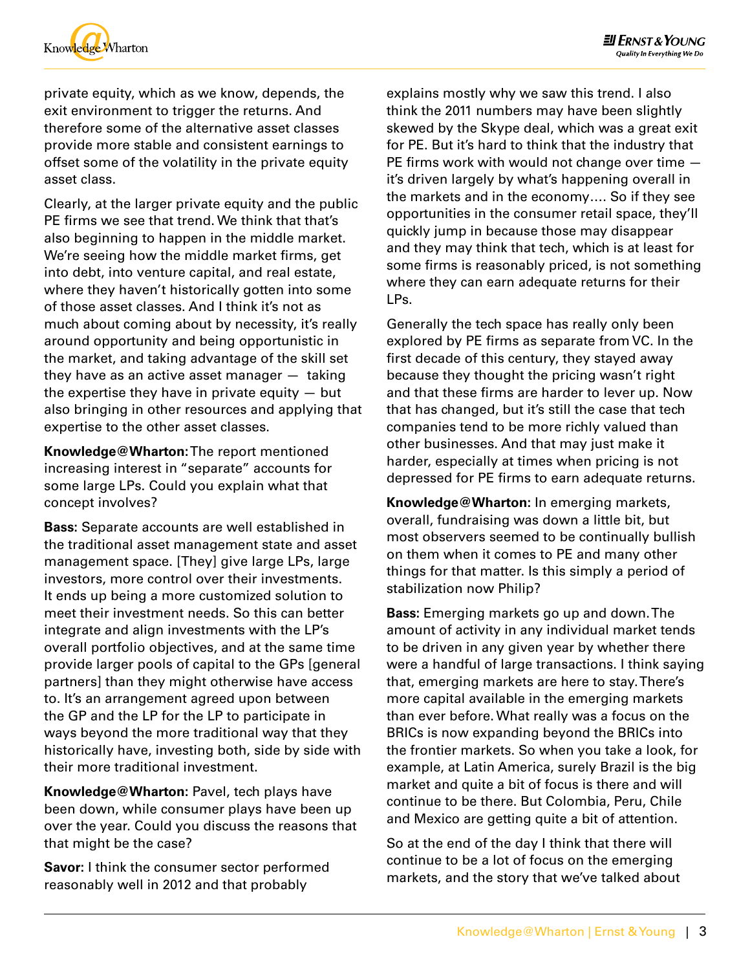

private equity, which as we know, depends, the exit environment to trigger the returns. And therefore some of the alternative asset classes provide more stable and consistent earnings to offset some of the volatility in the private equity asset class.

Clearly, at the larger private equity and the public PE firms we see that trend. We think that that's also beginning to happen in the middle market. We're seeing how the middle market firms, get into debt, into venture capital, and real estate, where they haven't historically gotten into some of those asset classes. And I think it's not as much about coming about by necessity, it's really around opportunity and being opportunistic in the market, and taking advantage of the skill set they have as an active asset manager — taking the expertise they have in private equity  $-$  but also bringing in other resources and applying that expertise to the other asset classes.

**Knowledge@Wharton:** The report mentioned increasing interest in "separate" accounts for some large LPs. Could you explain what that concept involves?

**Bass:** Separate accounts are well established in the traditional asset management state and asset management space. [They] give large LPs, large investors, more control over their investments. It ends up being a more customized solution to meet their investment needs. So this can better integrate and align investments with the LP's overall portfolio objectives, and at the same time provide larger pools of capital to the GPs [general partners] than they might otherwise have access to. It's an arrangement agreed upon between the GP and the LP for the LP to participate in ways beyond the more traditional way that they historically have, investing both, side by side with their more traditional investment.

**Knowledge@Wharton:** Pavel, tech plays have been down, while consumer plays have been up over the year. Could you discuss the reasons that that might be the case?

**Savor:** I think the consumer sector performed reasonably well in 2012 and that probably

explains mostly why we saw this trend. I also think the 2011 numbers may have been slightly skewed by the Skype deal, which was a great exit for PE. But it's hard to think that the industry that PE firms work with would not change over time it's driven largely by what's happening overall in the markets and in the economy…. So if they see opportunities in the consumer retail space, they'll quickly jump in because those may disappear and they may think that tech, which is at least for some firms is reasonably priced, is not something where they can earn adequate returns for their LPs.

Generally the tech space has really only been explored by PE firms as separate from VC. In the first decade of this century, they stayed away because they thought the pricing wasn't right and that these firms are harder to lever up. Now that has changed, but it's still the case that tech companies tend to be more richly valued than other businesses. And that may just make it harder, especially at times when pricing is not depressed for PE firms to earn adequate returns.

**Knowledge@Wharton:** In emerging markets, overall, fundraising was down a little bit, but most observers seemed to be continually bullish on them when it comes to PE and many other things for that matter. Is this simply a period of stabilization now Philip?

**Bass:** Emerging markets go up and down. The amount of activity in any individual market tends to be driven in any given year by whether there were a handful of large transactions. I think saying that, emerging markets are here to stay. There's more capital available in the emerging markets than ever before. What really was a focus on the BRICs is now expanding beyond the BRICs into the frontier markets. So when you take a look, for example, at Latin America, surely Brazil is the big market and quite a bit of focus is there and will continue to be there. But Colombia, Peru, Chile and Mexico are getting quite a bit of attention.

So at the end of the day I think that there will continue to be a lot of focus on the emerging markets, and the story that we've talked about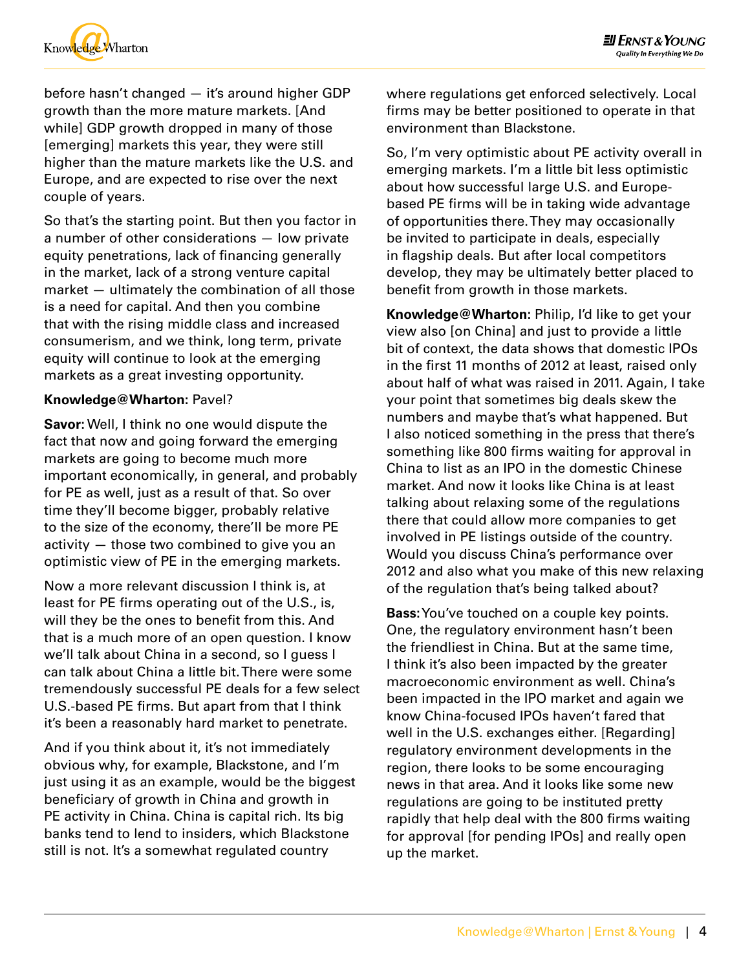

before hasn't changed — it's around higher GDP growth than the more mature markets. [And while] GDP growth dropped in many of those [emerging] markets this year, they were still higher than the mature markets like the U.S. and Europe, and are expected to rise over the next couple of years.

So that's the starting point. But then you factor in a number of other considerations — low private equity penetrations, lack of financing generally in the market, lack of a strong venture capital market — ultimately the combination of all those is a need for capital. And then you combine that with the rising middle class and increased consumerism, and we think, long term, private equity will continue to look at the emerging markets as a great investing opportunity.

## **Knowledge@Wharton:** Pavel?

**Savor:** Well, I think no one would dispute the fact that now and going forward the emerging markets are going to become much more important economically, in general, and probably for PE as well, just as a result of that. So over time they'll become bigger, probably relative to the size of the economy, there'll be more PE activity — those two combined to give you an optimistic view of PE in the emerging markets.

Now a more relevant discussion I think is, at least for PE firms operating out of the U.S., is, will they be the ones to benefit from this. And that is a much more of an open question. I know we'll talk about China in a second, so I quess I can talk about China a little bit. There were some tremendously successful PE deals for a few select U.S.-based PE firms. But apart from that I think it's been a reasonably hard market to penetrate.

And if you think about it, it's not immediately obvious why, for example, Blackstone, and I'm just using it as an example, would be the biggest beneficiary of growth in China and growth in PE activity in China. China is capital rich. Its big banks tend to lend to insiders, which Blackstone still is not. It's a somewhat regulated country

where regulations get enforced selectively. Local firms may be better positioned to operate in that environment than Blackstone.

So, I'm very optimistic about PE activity overall in emerging markets. I'm a little bit less optimistic about how successful large U.S. and Europebased PE firms will be in taking wide advantage of opportunities there. They may occasionally be invited to participate in deals, especially in flagship deals. But after local competitors develop, they may be ultimately better placed to benefit from growth in those markets.

**Knowledge@Wharton:** Philip, I'd like to get your view also [on China] and just to provide a little bit of context, the data shows that domestic IPOs in the first 11 months of 2012 at least, raised only about half of what was raised in 2011. Again, I take your point that sometimes big deals skew the numbers and maybe that's what happened. But I also noticed something in the press that there's something like 800 firms waiting for approval in China to list as an IPO in the domestic Chinese market. And now it looks like China is at least talking about relaxing some of the regulations there that could allow more companies to get involved in PE listings outside of the country. Would you discuss China's performance over 2012 and also what you make of this new relaxing of the regulation that's being talked about?

**Bass:** You've touched on a couple key points. One, the regulatory environment hasn't been the friendliest in China. But at the same time, I think it's also been impacted by the greater macroeconomic environment as well. China's been impacted in the IPO market and again we know China-focused IPOs haven't fared that well in the U.S. exchanges either. [Regarding] regulatory environment developments in the region, there looks to be some encouraging news in that area. And it looks like some new regulations are going to be instituted pretty rapidly that help deal with the 800 firms waiting for approval [for pending IPOs] and really open up the market.